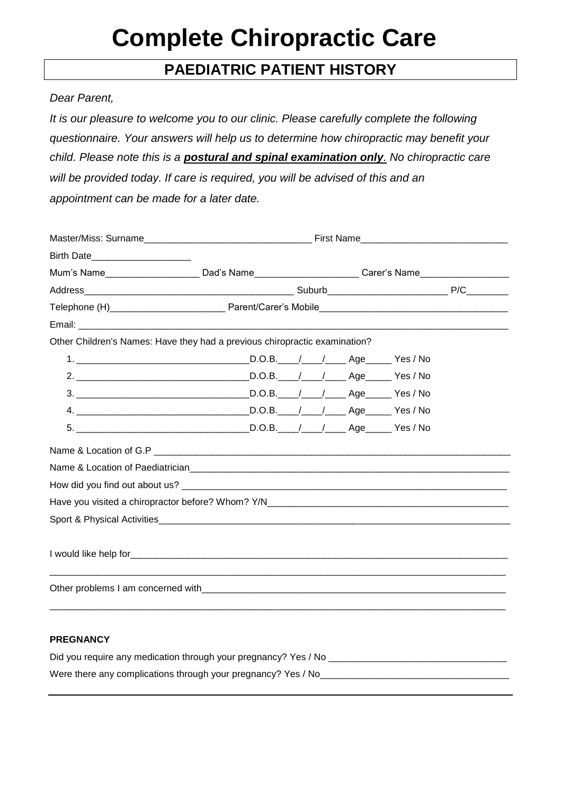# **Complete Chiropractic Care**

# **PAEDIATRIC PATIENT HISTORY**

### *Dear Parent,*

*It is our pleasure to welcome you to our clinic. Please carefully complete the following questionnaire. Your answers will help us to determine how chiropractic may benefit your child. Please note this is a postural and spinal examination only. No chiropractic care will be provided today. If care is required, you will be advised of this and an appointment can be made for a later date.*

| Birth Date_______________________                                                                                                                                                                                              |  |  |  |
|--------------------------------------------------------------------------------------------------------------------------------------------------------------------------------------------------------------------------------|--|--|--|
| Mum's Name________________________Dad's Name______________________Carer's Name_____________________                                                                                                                            |  |  |  |
|                                                                                                                                                                                                                                |  |  |  |
|                                                                                                                                                                                                                                |  |  |  |
|                                                                                                                                                                                                                                |  |  |  |
| Other Children's Names: Have they had a previous chiropractic examination?                                                                                                                                                     |  |  |  |
|                                                                                                                                                                                                                                |  |  |  |
|                                                                                                                                                                                                                                |  |  |  |
|                                                                                                                                                                                                                                |  |  |  |
|                                                                                                                                                                                                                                |  |  |  |
|                                                                                                                                                                                                                                |  |  |  |
|                                                                                                                                                                                                                                |  |  |  |
|                                                                                                                                                                                                                                |  |  |  |
|                                                                                                                                                                                                                                |  |  |  |
|                                                                                                                                                                                                                                |  |  |  |
|                                                                                                                                                                                                                                |  |  |  |
|                                                                                                                                                                                                                                |  |  |  |
| Other problems I am concerned with expression and the contract of the contract of the contract of the contract of the contract of the contract of the contract of the contract of the contract of the contract of the contract |  |  |  |
|                                                                                                                                                                                                                                |  |  |  |

#### **PREGNANCY**

| Did you require any medication through your pregnancy? Yes / No |  |
|-----------------------------------------------------------------|--|
| Were there any complications through your pregnancy? Yes / No   |  |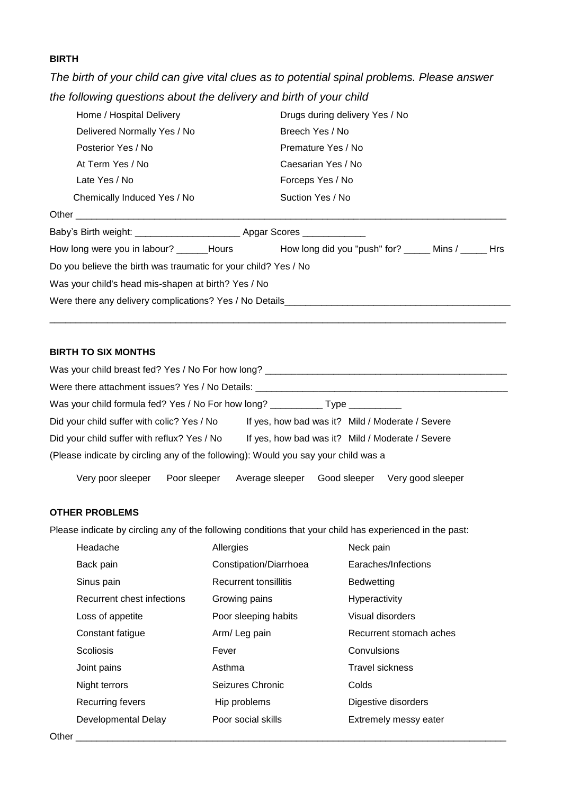## **BIRTH**

*The birth of your child can give vital clues as to potential spinal problems. Please answer the following questions about the delivery and birth of your child*

| Home / Hospital Delivery                                                    | Drugs during delivery Yes / No                                                                 |
|-----------------------------------------------------------------------------|------------------------------------------------------------------------------------------------|
| Delivered Normally Yes / No                                                 | Breech Yes / No                                                                                |
| Posterior Yes / No                                                          | Premature Yes / No                                                                             |
| At Term Yes / No                                                            | Caesarian Yes / No                                                                             |
| Late Yes / No                                                               | Forceps Yes / No                                                                               |
| Chemically Induced Yes / No                                                 | Suction Yes / No                                                                               |
|                                                                             |                                                                                                |
| Baby's Birth weight: __________________________ Apgar Scores ______________ |                                                                                                |
|                                                                             | How long were you in labour? ______Hours how long did you "push" for? ______ Mins / ______ Hrs |
| Do you believe the birth was traumatic for your child? Yes / No             |                                                                                                |
| Was your child's head mis-shapen at birth? Yes / No                         |                                                                                                |
| Were there any delivery complications? Yes / No Details                     |                                                                                                |
|                                                                             |                                                                                                |

#### **BIRTH TO SIX MONTHS**

| Was your child breast fed? Yes / No For how long? ______________________________   |                                                  |
|------------------------------------------------------------------------------------|--------------------------------------------------|
| Were there attachment issues? Yes / No Details: ________________________________   |                                                  |
| Was your child formula fed? Yes / No For how long? _____________________________   |                                                  |
| Did your child suffer with colic? Yes / No                                         | If yes, how bad was it? Mild / Moderate / Severe |
| Did your child suffer with reflux? Yes / No                                        | If yes, how bad was it? Mild / Moderate / Severe |
| (Please indicate by circling any of the following): Would you say your child was a |                                                  |

\_\_\_\_\_\_\_\_\_\_\_\_\_\_\_\_\_\_\_\_\_\_\_\_\_\_\_\_\_\_\_\_\_\_\_\_\_\_\_\_\_\_\_\_\_\_\_\_\_\_\_\_\_\_\_\_\_\_\_\_\_\_\_\_\_\_\_\_\_\_\_\_\_\_\_\_\_\_\_\_\_\_\_\_\_\_\_

Very poor sleeper Poor sleeper Average sleeper Good sleeper Very good sleeper

## **OTHER PROBLEMS**

Please indicate by circling any of the following conditions that your child has experienced in the past:

| Headache                   | Allergies              | Neck pain               |
|----------------------------|------------------------|-------------------------|
| Back pain                  | Constipation/Diarrhoea | Earaches/Infections     |
| Sinus pain                 | Recurrent tonsillitis  | <b>Bedwetting</b>       |
| Recurrent chest infections | Growing pains          | Hyperactivity           |
| Loss of appetite           | Poor sleeping habits   | Visual disorders        |
| Constant fatigue           | Arm/Leg pain           | Recurrent stomach aches |
| <b>Scoliosis</b>           | Fever                  | Convulsions             |
| Joint pains                | Asthma                 | <b>Travel sickness</b>  |
| Night terrors              | Seizures Chronic       | Colds                   |
| Recurring fevers           | Hip problems           | Digestive disorders     |
| Developmental Delay        | Poor social skills     | Extremely messy eater   |